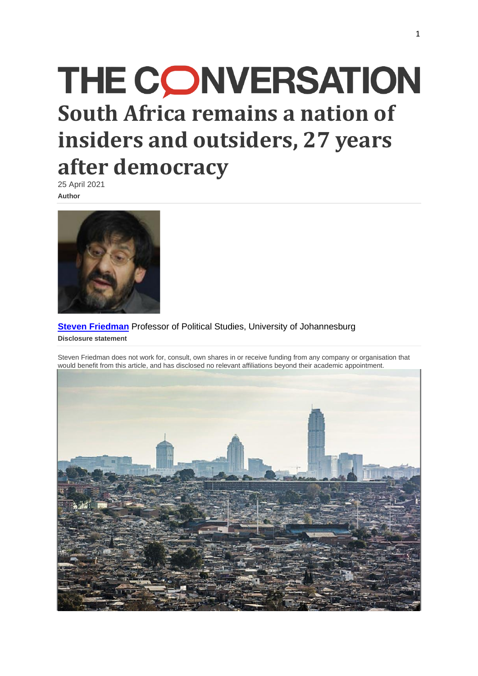# **THE CONVERSATION South Africa remains a nation of insiders and outsiders, 27 years after democracy**

25 April 2021 **Author**



**Steven [Friedman](https://theconversation.com/profiles/steven-friedman-297963)** Professor of Political Studies, University of Johannesburg **Disclosure statement**

Steven Friedman does not work for, consult, own shares in or receive funding from any company or organisation that would benefit from this article, and has disclosed no relevant affiliations beyond their academic appointment.

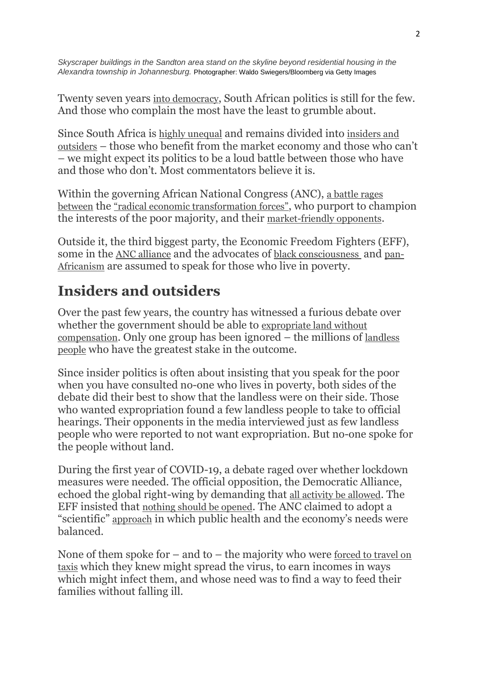*Skyscraper buildings in the Sandton area stand on the skyline beyond residential housing in the Alexandra township in Johannesburg.* Photographer: Waldo Swiegers/Bloomberg via Getty Images

Twenty seven years [into democracy](https://www.tandfonline.com/doi/abs/10.1080/04597239308460952?journalCode=tssu20), South African politics is still for the few. And those who complain the most have the least to grumble about.

Since South Africa is [highly unequal](https://www.worldbank.org/en/country/southafrica/overview) and remains divided into [insiders and](https://www.academia.edu/29610338/ARCHIPELAGOS_OF_DOMINANCE_Party_Fiefdoms_and_South_African_Democracy)  [outsiders](https://www.academia.edu/29610338/ARCHIPELAGOS_OF_DOMINANCE_Party_Fiefdoms_and_South_African_Democracy) – those who benefit from the market economy and those who can't – we might expect its politics to be a loud battle between those who have and those who don't. Most commentators believe it is.

Within the governing African National Congress (ANC), [a battle rages](https://theconversation.com/precarious-power-tilts-towards-ramaphosa-in-battle-inside-south-africas-governing-party-158251)  [between](https://theconversation.com/precarious-power-tilts-towards-ramaphosa-in-battle-inside-south-africas-governing-party-158251) the ["radical economic transformation forces"](https://www.dailymaverick.co.za/article/2021-03-14-carl-niehaus-tables-radical-economic-transformation-plan-ahead-of-ace-magashules-campaign-for-anc-president/), who purport to champion the interests of the poor majority, and their [market-friendly opponents](https://theconversation.com/precarious-power-tilts-towards-ramaphosa-in-battle-inside-south-africas-governing-party-158251).

Outside it, the third biggest party, the Economic Freedom Fighters (EFF), some in the [ANC alliance](https://omalley.nelsonmandela.org/omalley/index.php/site/q/03lv02424/04lv02730/05lv03161.htm) and the advocates of [black consciousness](https://socialsurveys.co.za/wp-content/uploads/2019/04/AZAPO-2019-Manifesto.pdf) and [pan-](http://www.pac.org.za/wp-content/uploads/PAC-Manifesto-2019.pdf)[Africanism](http://www.pac.org.za/wp-content/uploads/PAC-Manifesto-2019.pdf) are assumed to speak for those who live in poverty.

### **Insiders and outsiders**

Over the past few years, the country has witnessed a furious debate over whether the government should be able to [expropriate land without](https://theconversation.com/the-politics-behind-south-africas-property-clause-amendment-131575)  [compensation](https://theconversation.com/the-politics-behind-south-africas-property-clause-amendment-131575). Only one group has been ignored – the millions of [landless](https://www.dailymaverick.co.za/article/2021-02-02-land-activists-without-the-voices-of-communities-the-expropriation-bill-will-not-go-very-far/)  [people](https://www.dailymaverick.co.za/article/2021-02-02-land-activists-without-the-voices-of-communities-the-expropriation-bill-will-not-go-very-far/) who have the greatest stake in the outcome.

Since insider politics is often about insisting that you speak for the poor when you have consulted no-one who lives in poverty, both sides of the debate did their best to show that the landless were on their side. Those who wanted expropriation found a few landless people to take to official hearings. Their opponents in the media interviewed just as few landless people who were reported to not want expropriation. But no-one spoke for the people without land.

During the first year of COVID-19, a debate raged over whether lockdown measures were needed. The official opposition, the Democratic Alliance, echoed the global right-wing by demanding that [all activity be allowed](https://www.capetownetc.com/news/da-opposes-curfews-and-lockdown-phasing/). The EFF insisted that [nothing should be opened](https://www.iol.co.za/news/politics/malema-economy-is-secondary-hard-lockdown-should-continue-until-scientific-solution-found-48627807). The ANC claimed to adopt a "scientific" [approach](https://www.sabcnews.com/sabcnews/government-will-be-guided-by-scientific-evidence-before-easing-lockdown-ramaphosa/) in which public health and the economy's needs were balanced.

None of them spoke for  $-$  and to  $-$  the majority who were forced to travel on [taxis](https://www.businessinsider.co.za/minibus-taxis-may-now-be-100-full-2020-7) which they knew might spread the virus, to earn incomes in ways which might infect them, and whose need was to find a way to feed their families without falling ill.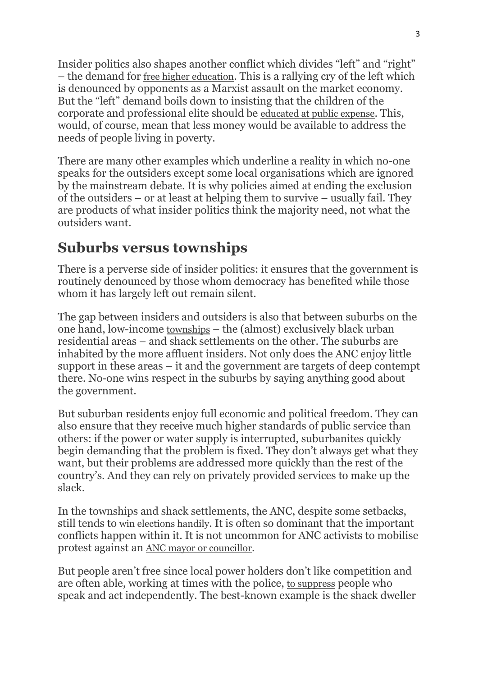Insider politics also shapes another conflict which divides "left" and "right" – the demand for [free higher education](https://theconversation.com/fees-must-fall-but-not-at-the-expense-of-quality-higher-education-62520). This is a rallying cry of the left which is denounced by opponents as a Marxist assault on the market economy. But the "left" demand boils down to insisting that the children of the corporate and professional elite should be [educated at public expense](https://theconversation.com/history-explains-why-south-africans-on-the-left-argue-for-free-passes-for-the-rich-88345). This, would, of course, mean that less money would be available to address the needs of people living in poverty.

There are many other examples which underline a reality in which no-one speaks for the outsiders except some local organisations which are ignored by the mainstream debate. It is why policies aimed at ending the exclusion of the outsiders – or at least at helping them to survive – usually fail. They are products of what insider politics think the majority need, not what the outsiders want.

#### **Suburbs versus townships**

There is a perverse side of insider politics: it ensures that the government is routinely denounced by those whom democracy has benefited while those whom it has largely left out remain silent.

The gap between insiders and outsiders is also that between suburbs on the one hand, low-income [townships](https://ccs.ukzn.ac.za/files/Bond%20Townships.pdf) – the (almost) exclusively black urban residential areas – and shack settlements on the other. The suburbs are inhabited by the more affluent insiders. Not only does the ANC enjoy little support in these areas – it and the government are targets of deep contempt there. No-one wins respect in the suburbs by saying anything good about the government.

But suburban residents enjoy full economic and political freedom. They can also ensure that they receive much higher standards of public service than others: if the power or water supply is interrupted, suburbanites quickly begin demanding that the problem is fixed. They don't always get what they want, but their problems are addressed more quickly than the rest of the country's. And they can rely on privately provided services to make up the slack.

In the townships and shack settlements, the ANC, despite some setbacks, still tends to [win elections handily](https://www.politicsweb.co.za/documents/results-of-the-municipal-byelections-held-on-21-ap). It is often so dominant that the important conflicts happen within it. It is not uncommon for ANC activists to mobilise protest against an [ANC mayor or councillor](https://www.enca.com/news/umngeni-municipality-anc-members-protest-against-corruption).

But people aren't free since local power holders don't like competition and are often able, working at times with the police, [to suppress](https://theconversation.com/below-the-radar-south-africa-is-limiting-the-right-to-protest-60943) people who speak and act independently. The best-known example is the shack dweller